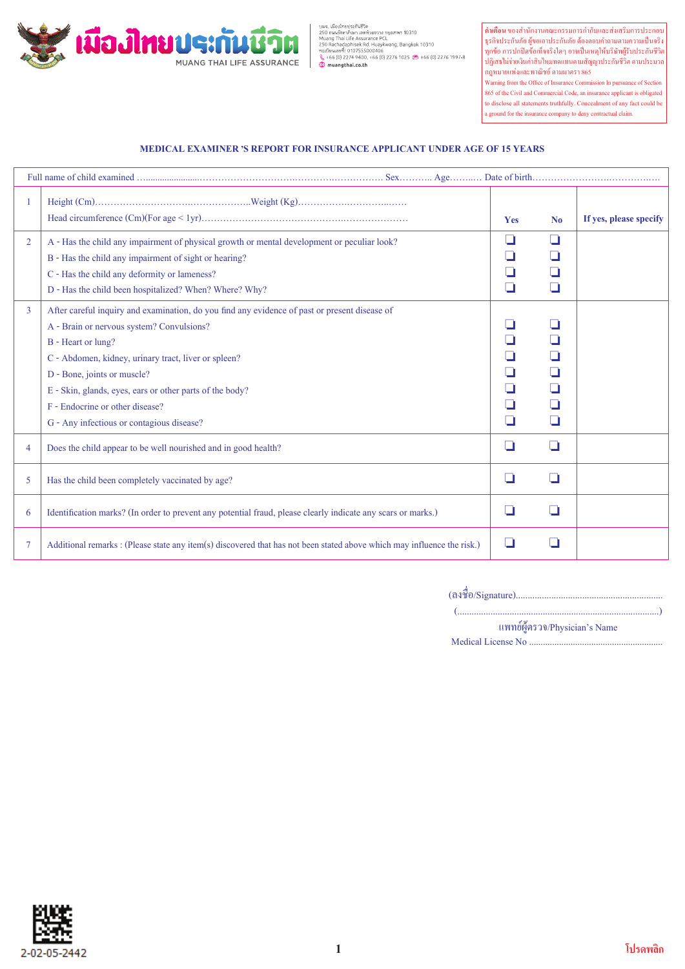

นมจ. เมืองไทยประทันชีวิต<br>250 ตนหรัชคากิเจก แอคทั่วขยขวาง กรุงเทพฯ 10310<br>Muang Thai Life Assurance PCL<br>250 Rachadaphisek Rd. Huaykwang, Bangkok 10310<br>ทะเบียนและที่: 0107555000406<br>‰ +66 (0) 2276 19010, +66 (0) 2276 1025 (

**คำเตือน** ของสำนักงานคณะกรรมการกำกับและสงเสริมการประกอบ ธุรกิจประกันภัย ผูขอเอาประกันภัย ตองตอบคำถามตามความเปนจริง ทุกขอ การปกปดขอเท็จจริงใดๆ อาจเปนเหตุใหบริษัทผูรับประกันชีวิต ปฏิเสธไมจายเงินคาสินไหมทดแทนตามสัญญาประกันชีวิต ตามประมวล กฎหมายแพงและพาณิชย ตามมาตรา 865

Warning from the Office of Insurance Commission In pursuance of Section 865 of the Civil and Commercial Code, an insurance applicant is obligated to disclose all statements truthfully. Concealment of any fact could be a ground for the insurance company to deny contractual claim.

## **MEDICAL EXAMINER , S REPORT FOR INSURANCE APPLICANT UNDER AGE OF 15 YEARS**

|                |                                                                                                                                                                                                                                                                                                                                                                                                     | Yes                    | No                                      | If yes, please specify |  |
|----------------|-----------------------------------------------------------------------------------------------------------------------------------------------------------------------------------------------------------------------------------------------------------------------------------------------------------------------------------------------------------------------------------------------------|------------------------|-----------------------------------------|------------------------|--|
| $\overline{2}$ | A - Has the child any impairment of physical growth or mental development or peculiar look?<br>B - Has the child any impairment of sight or hearing?<br>C - Has the child any deformity or lameness?<br>D - Has the child been hospitalized? When? Where? Why?                                                                                                                                      | ┚<br>┚                 | ❏<br>- 1<br>- 1                         |                        |  |
| 3              | After careful inquiry and examination, do you find any evidence of past or present disease of<br>A - Brain or nervous system? Convulsions?<br>B - Heart or lung?<br>C - Abdomen, kidney, urinary tract, liver or spleen?<br>D - Bone, joints or muscle?<br>E - Skin, glands, eyes, ears or other parts of the body?<br>F - Endocrine or other disease?<br>G - Any infectious or contagious disease? | $\mathbf{I}$<br>┚<br>⊔ | - 1<br>H<br>- 1<br>H<br>- 1<br>- 1<br>⊔ |                        |  |
| 4              | Does the child appear to be well nourished and in good health?                                                                                                                                                                                                                                                                                                                                      | ❏                      | П                                       |                        |  |
| 5              | Has the child been completely vaccinated by age?                                                                                                                                                                                                                                                                                                                                                    | ⊔                      | ⊔                                       |                        |  |
| 6              | Identification marks? (In order to prevent any potential fraud, please clearly indicate any scars or marks.)                                                                                                                                                                                                                                                                                        | ⊔                      | $\overline{\phantom{0}}$                |                        |  |
| 7              | Additional remarks : (Please state any item(s) discovered that has not been stated above which may influence the risk.)                                                                                                                                                                                                                                                                             | ப                      | ப                                       |                        |  |

(ลงชื่อ/Signature)..............................................................

 (.....................................................................................) แพทยผูตรวจ/Physician's Name

Medical License No ..........................................................

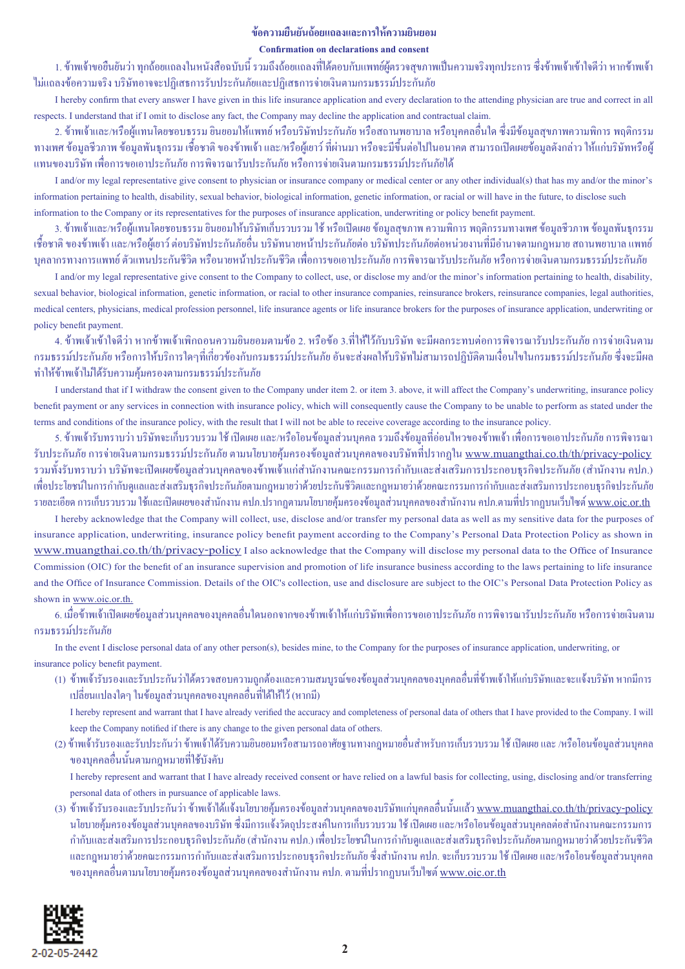## **ขอความยืนยันถอยแถลงและการใหความยินยอม**

## **Confirmation on declarations and consent**

1. ข้าพเจ้าขอยืนยันว่า ทุกถ้อยแถลงในหนังสือฉบับนี้ รวมถึงถ้อยแถลงที่ได้ตอบกับแพทย์ผู้ตรวจสุขภาพเป็นความจริงทุกประการ ซึ่งข้าพเจ้าเข้าใจดีว่า หากข้าพเจ้า ไมแถลงขอความจริง บริษัทอาจจะปฏิเสธการรับประกันภัยและปฏิเสธการจายเงินตามกรมธรรมประกันภัย

I hereby confirm that every answer I have given in this life insurance application and every declaration to the attending physician are true and correct in all respects. I understand that if I omit to disclose any fact, the Company may decline the application and contractual claim.

2. ขาพเจาและ/หรือผูแทนโดยชอบธรรม ยินยอมใหแพทย หรือบริษัทประกันภัย หรือสถานพยาบาล หรือบุคคลอื่นใด ซึ่งมีขอมูลสุขภาพความพิการ พฤติกรรม ทางเพศ ข้อมูลชีวภาพ ข้อมูลพันธุกรรม เชื้อชาติ ของข้าพเจ้า และ/หรือผู้เยาว์ ที่ผ่านมา หรือจะมีขึ้นต่อไปในอนาคต สามารถเปิดเผยข้อมูลดังกล่าว ให้แก่บริษัทหรือผู้ แทนของบริษัท เพื่อการขอเอาประกันภัย การพิจารณารับประกันภัย หรือการจายเงินตามกรมธรรมประกันภัยได

I and/or my legal representative give consent to physician or insurance company or medical center or any other individual(s) that has my and/or the minor's information pertaining to health, disability, sexual behavior, biological information, genetic information, or racial or will have in the future, to disclose such information to the Company or its representatives for the purposes of insurance application, underwriting or policy benefit payment.

3. ขาพเจาและ/หรือผูแทนโดยชอบธรรม ยินยอมใหบริษัทเก็บรวบรวม ใช หรือเปดเผย ขอมูลสุขภาพ ความพิการ พฤติกรรมทางเพศ ขอมูลชีวภาพ ขอมูลพันธุกรรม เชื้อชาติ ของข้าพเจ้า และ/หรือผู้เยาว์ ต่อบริษัทประกันภัยอื่น บริษัทนายหน้าประกันภัยต่อหน่วยงานที่มีอำนาจตามกฎหมาย สถานพยาบาล แพทย์ บุคลากรทางการแพทย์ ตัวแทนประกันชีวิต หรือนายหน้าประกันชีวิต เพื่อการขอเอาประกันภัย การพิจารณารับประกันภัย หรือการจ่ายเงินตามกรมธรรม์ประกันภัย

I and/or my legal representative give consent to the Company to collect, use, or disclose my and/or the minor's information pertaining to health, disability, sexual behavior, biological information, genetic information, or racial to other insurance companies, reinsurance brokers, reinsurance companies, legal authorities, medical centers, physicians, medical profession personnel, life insurance agents or life insurance brokers for the purposes of insurance application, underwriting or policy benefit payment.

4. ขาพเจาเขาใจดีวา หากขาพเจาเพิกถอนความยินยอมตามขอ 2. หรือขอ 3.ที่ใหไวกับบริษัท จะมีผลกระทบตอการพิจารณารับประกันภัย การจายเงินตาม กรมธรรมประกันภัย หรือการใหบริการใดๆที่เกี่ยวของกับกรมธรรมประกันภัย อันจะสงผลใหบริษัทไมสามารถปฏิบัติตามเงื่อนไขในกรมธรรมประกันภัย ซึ่งจะมีผล ทำใหขาพเจาไมไดรับความคุมครองตามกรมธรรมประกันภัย

I understand that if I withdraw the consent given to the Company under item 2. or item 3. above, it will affect the Company's underwriting, insurance policy benefit payment or any services in connection with insurance policy, which will consequently cause the Company to be unable to perform as stated under the terms and conditions of the insurance policy, with the result that I will not be able to receive coverage according to the insurance policy.

5. ข้าพเจ้ารับทราบว่า บริษัทจะเก็บรวบรวม ใช้ เปิดเผย และ/หรือโอนข้อมูลส่วนบุคคล รวมถึงข้อมูลที่อ่อนใหวของข้าพเจ้า เพื่อการขอเอาประกันภัย การพิจารณา รับประกันภัย การจ่ายเงินตามกรมธรรม์ประกันภัย ตามนโยบายคุ้มครองข้อมูลส่วนบุคคลของบริษัทที่ปรากฏใน <u>www.muangthai.co.th/th/privacy-policy</u> รวมทั้งรับทราบว่า บริษัทจะเปิดเผยข้อมูลส่วนบุคคลของข้าพเจ้าแก่สำนักงานคณะกรรมการกำกับและส่งเสริมการประกอบธุรกิจประกันภัย (สำนักงาน คปภ.) เพื่อประโยชนในการกำกับดูแลและสงเสริมธุรกิจประกันภัยตามกฎหมายวาดวยประกันชีวิตและกฎหมายวาดวยคณะกรรมการกำกับและสงเสริมการประกอบธุรกิจประกันภัย รายละเอียด การเก็บรวบรวม ใช้และเปิดเผยของสำนักงาน คปภ.ปรากฏตามนโยบายค้มครองข้อมูลส่วนบุคคลของสำนักงาน คปภ.ตามที่ปรากฏบนเว็บไซต์ www.oic.or.th

I hereby acknowledge that the Company will collect, use, disclose and/or transfer my personal data as well as my sensitive data for the purposes of insurance application, underwriting, insurance policy benefit payment according to the Company's Personal Data Protection Policy as shown in www.muangthai.co.th/th/privacy-policy I also acknowledge that the Company will disclose my personal data to the Office of Insurance Commission (OIC) for the benefit of an insurance supervision and promotion of life insurance business according to the laws pertaining to life insurance and the Office of Insurance Commission. Details of the OIC's collection, use and disclosure are subject to the OIC's Personal Data Protection Policy as shown in www.oic.or.th.

6. เมื่อขาพเจาเปดเผยขอมูลสวนบุคคลของบุคคลอื่นใดนอกจากของขาพเจาใหแกบริษัทเพื่อการขอเอาประกันภัย การพิจารณารับประกันภัย หรือการจายเงินตาม กรมธรรมประกันภัย

 In the event I disclose personal data of any other person(s), besides mine, to the Company for the purposes of insurance application, underwriting, or insurance policy benefit payment.

(1) ข้าพเจ้ารับรองและรับประกันว่าได้ตรวจสอบความถูกต้องและความสมบูรณ์ของข้อมูลส่วนบุคคลของบุคคลอื่นที่ข้าพเจ้าให้แก่บริษัทและจะแจ้งบริษัท หากมีการ เปลี่ยนแปลงใดๆ ในขอมูลสวนบุคคลของบุคคลอื่นที่ไดใหไว (หากมี)

 I hereby represent and warrant that I have already verified the accuracy and completeness of personal data of others that I have provided to the Company. I will keep the Company notified if there is any change to the given personal data of others.

(2) ข้าพเจ้ารับรองและรับประกันว่า ข้าพเจ้าได้รับความยินยอมหรือสามารถอาศัยฐานทางกฎหมายอื่นสำหรับการเก็บรวบรวม ใช้ เปิดเผย และ /หรือโอนข้อมูลส่วนบุคคล ของบุคคลอื่นนั้นตามกฎหมายที่ใชบังคับ

 I hereby represent and warrant that I have already received consent or have relied on a lawful basis for collecting, using, disclosing and/or transferring personal data of others in pursuance of applicable laws.

(3) ข้าพเจ้ารับรองและรับประกันว่า ข้าพเจ้าได้แจ้งนโยบายคุ้มครองข้อมูลส่วนบุคคลของบริษัทแก่บุคคลอื่นนั้นแล้ว <u>www.muangthai.co.th/th/privacy-policy</u> นโยบายคุ้มครองข้อมูลส่วนบุคคลของบริษัท ซึ่งมีการแจ้งวัตถุประสงค์ในการเก็บรวบรวม ใช้ เปิดเผย และ/หรือโอนข้อมูลส่วนบุคคลต่อสำนักงานคณะกรรมการ กำกับและสงเสริมการประกอบธุรกิจประกันภัย (สำนักงาน คปภ.) เพื่อประโยชนในการกำกับดูแลและสงเสริมธุรกิจประกันภัยตามกฎหมายวาดวยประกันชีวิต และกฎหมายวาดวยคณะกรรมการกำกับและสงเสริมการประกอบธุรกิจประกันภัย ซึ่งสำนักงาน คปภ. จะเก็บรวบรวม ใช เปดเผย และ/หรือโอนขอมูลสวนบุคคล ึ ของบุคคลอื่นตามนโยบายคุ้มครองข้อมูลส่วนบุคคลของสำนักงาน คปภ. ตามที่ปรากฏบนเว็บไซต์ <u>www.oic.or.th</u>